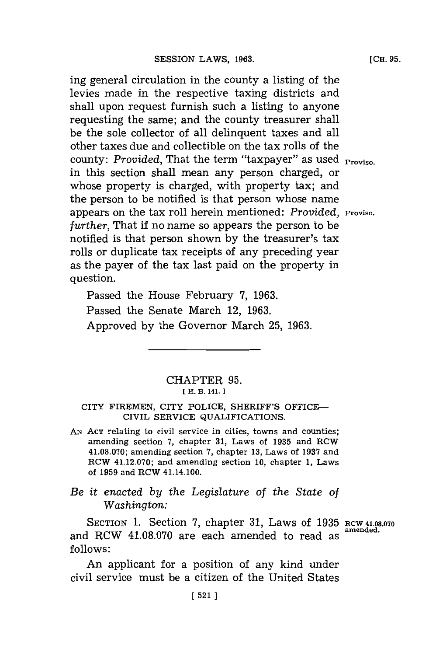ing general circulation in the county a listing of the levies made in the respective taxing districts and shall upon request furnish such a listing to anyone requesting the same; and the county treasurer shall be the sole collector of all delinquent taxes and all other taxes due and collectible on the tax rolls of the county: *Provided*, That the term "taxpayer" as used **Proviso.** in this section shall mean any person charged, or whose property is charged, with property tax; and the person to be notified is that person whose name appears on the tax roll herein mentioned: Provided, Proviso. *further,* That if no name so appears the person to be notified is that person shown **by** the treasurer's tax rolls or duplicate tax receipts of any preceding year as the payer of the tax last paid on the property in question.

Passed the House February **7, 1963.** Passed the Senate March 12, **1963.** Approved **by** the Governor March **25, 1963.**

## CHAPTER **95. [ H. B. 141.]1**

## CITY FIREMEN, CITY POLICE, SHERIFF'S OFFICE-CIVIL SERVICE QUALIFICATIONS.

- **AN ACT** relating to civil service in cities, towns and counties; amending section **7,** chapter **31,** Laws of **1935** and RCW **41.08.070;** amending section **7,** chapter **13,** Laws of **1937** and RCW 41.12.070; and amending section **10,** chapter **1,** Laws of **1959** and RCW 41.14.100.
- *Be it enacted by the Legislature of the State of Washington:*

SECTION **1.** Section **7,** chapter **31,** Laws of **1935 RCW 41.08.070 amended.** and RCW **41.08.070** are each amended to read as **follows:**

An applicant for a position of any kind under civil service must be a citizen of the United States